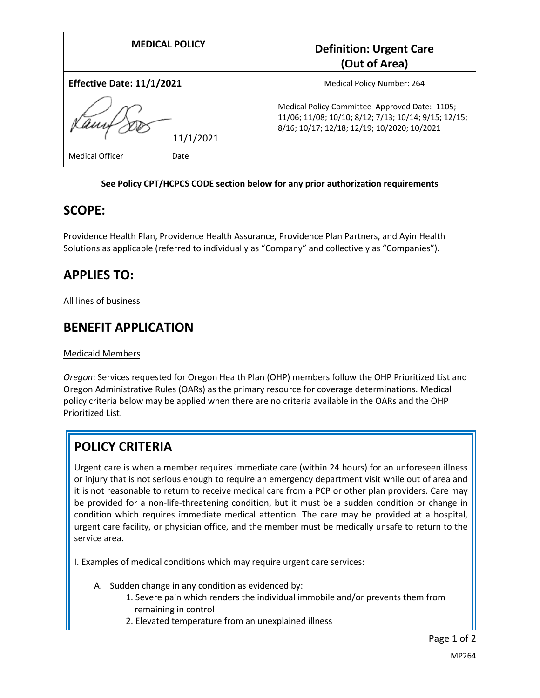| <b>MEDICAL POLICY</b>            | <b>Definition: Urgent Care</b><br>(Out of Area)                                                                                                      |
|----------------------------------|------------------------------------------------------------------------------------------------------------------------------------------------------|
| <b>Effective Date: 11/1/2021</b> | Medical Policy Number: 264                                                                                                                           |
| 11/1/2021                        | Medical Policy Committee Approved Date: 1105;<br>11/06; 11/08; 10/10; 8/12; 7/13; 10/14; 9/15; 12/15;<br>8/16; 10/17; 12/18; 12/19; 10/2020; 10/2021 |
| <b>Medical Officer</b><br>Date   |                                                                                                                                                      |

### **See Policy CPT/HCPCS CODE section below for any prior authorization requirements**

### **SCOPE:**

Providence Health Plan, Providence Health Assurance, Providence Plan Partners, and Ayin Health Solutions as applicable (referred to individually as "Company" and collectively as "Companies").

# **APPLIES TO:**

All lines of business

## **BENEFIT APPLICATION**

#### Medicaid Members

*Oregon*: Services requested for Oregon Health Plan (OHP) members follow the OHP Prioritized List and Oregon Administrative Rules (OARs) as the primary resource for coverage determinations. Medical policy criteria below may be applied when there are no criteria available in the OARs and the OHP Prioritized List.

# **POLICY CRITERIA**

Urgent care is when a member requires immediate care (within 24 hours) for an unforeseen illness or injury that is not serious enough to require an emergency department visit while out of area and it is not reasonable to return to receive medical care from a PCP or other plan providers. Care may be provided for a non-life-threatening condition, but it must be a sudden condition or change in condition which requires immediate medical attention. The care may be provided at a hospital, urgent care facility, or physician office, and the member must be medically unsafe to return to the service area.

I. Examples of medical conditions which may require urgent care services:

- A. Sudden change in any condition as evidenced by:
	- 1. Severe pain which renders the individual immobile and/or prevents them from remaining in control
	- 2. Elevated temperature from an unexplained illness